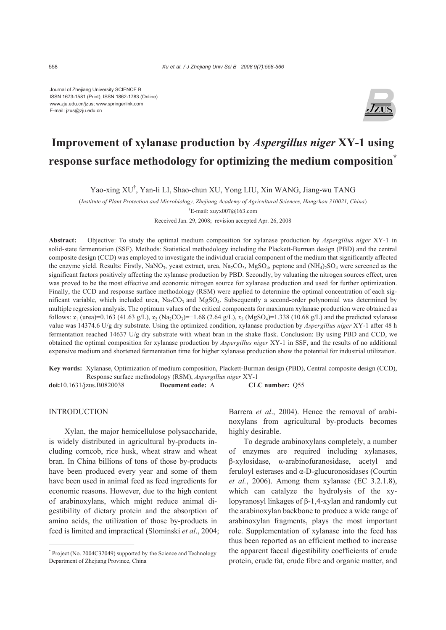Journal of Zhejiang University SCIENCE B ISSN 1673-1581 (Print); ISSN 1862-1783 (Online) www.zju.edu.cn/jzus; www.springerlink.com E-mail: jzus@zju.edu.cn



# **Improvement of xylanase production by** *Aspergillus niger* **XY-1 using response surface methodology for optimizing the medium composition\***

Yao-xing XU† , Yan-li LI, Shao-chun XU, Yong LIU, Xin WANG, Jiang-wu TANG

(*Institute of Plant Protection and Microbiology, Zhejiang Academy of Agricultural Sciences, Hangzhou 310021, China*) † E-mail: xuyx007@163.com

Received Jan. 29, 2008; revision accepted Apr. 26, 2008

**Abstract:** Objective: To study the optimal medium composition for xylanase production by *Aspergillus niger* XY-1 in solid-state fermentation (SSF). Methods: Statistical methodology including the Plackett-Burman design (PBD) and the central composite design (CCD) was employed to investigate the individual crucial component of the medium that significantly affected the enzyme yield. Results: Firstly, NaNO<sub>3</sub>, yeast extract, urea, Na<sub>2</sub>CO<sub>3</sub>, MgSO<sub>4</sub>, peptone and  $(NH<sub>4</sub>)<sub>2</sub>SO<sub>4</sub>$  were screened as the significant factors positively affecting the xylanase production by PBD. Secondly, by valuating the nitrogen sources effect, urea was proved to be the most effective and economic nitrogen source for xylanase production and used for further optimization. Finally, the CCD and response surface methodology (RSM) were applied to determine the optimal concentration of each significant variable, which included urea,  $Na_2CO_3$  and  $MgSO_4$ . Subsequently a second-order polynomial was determined by multiple regression analysis. The optimum values of the critical components for maximum xylanase production were obtained as follows: *x*<sub>1</sub> (urea)=0.163 (41.63 g/L), *x*<sub>2</sub> (Na<sub>2</sub>CO<sub>3</sub>)=−1.68 (2.64 g/L), *x*<sub>3</sub> (MgSO<sub>4</sub>)=1.338 (10.68 g/L) and the predicted xylanase value was 14374.6 U/g dry substrate. Using the optimized condition, xylanase production by *Aspergillus niger* XY-1 after 48 h fermentation reached 14637 U/g dry substrate with wheat bran in the shake flask. Conclusion: By using PBD and CCD, we obtained the optimal composition for xylanase production by *Aspergillus niger* XY-1 in SSF, and the results of no additional expensive medium and shortened fermentation time for higher xylanase production show the potential for industrial utilization.

**Key words:** Xylanase, Optimization of medium composition, Plackett-Burman design (PBD), Central composite design (CCD), Response surface methodology (RSM), *Aspergillus niger* XY-1

**doi:**10.1631/jzus.B0820038 **Document code:** A **CLC number:** Q55

# INTRODUCTION

Xylan, the major hemicellulose polysaccharide, is widely distributed in agricultural by-products including corncob, rice husk, wheat straw and wheat bran. In China billions of tons of those by-products have been produced every year and some of them have been used in animal feed as feed ingredients for economic reasons. However, due to the high content of arabinoxylans, which might reduce animal digestibility of dietary protein and the absorption of amino acids, the utilization of those by-products in feed is limited and impractical (Slominski *et al*., 2004; Barrera *et al*., 2004). Hence the removal of arabinoxylans from agricultural by-products becomes highly desirable.

To degrade arabinoxylans completely, a number of enzymes are required including xylanases, β-xylosidase, α-arabinofuranosidase, acetyl and feruloyl esterases and α-D-glucuronosidases (Courtin *et al.*, 2006). Among them xylanase (EC 3.2.1.8), which can catalyze the hydrolysis of the xylopyranosyl linkages of β-1,4-xylan and randomly cut the arabinoxylan backbone to produce a wide range of arabinoxylan fragments, plays the most important role. Supplementation of xylanase into the feed has thus been reported as an efficient method to increase the apparent faecal digestibility coefficients of crude protein, crude fat, crude fibre and organic matter, and

<sup>\*</sup> Project (No. 2004C32049) supported by the Science and Technology Department of Zhejiang Province, China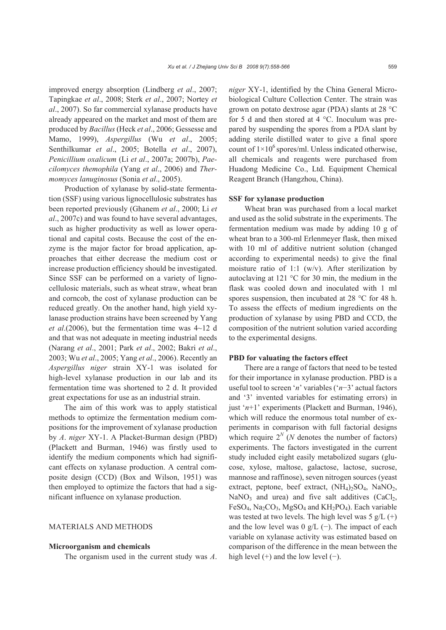improved energy absorption (Lindberg *et al*., 2007; Tapingkae *et al*., 2008; Sterk *et al*., 2007; Nortey *et al*., 2007). So far commercial xylanase products have already appeared on the market and most of them are produced by *Bacillus* (Heck *et al*., 2006; Gessesse and Mamo, 1999), *Aspergillus* (Wu *et al*., 2005; Senthilkumar *et al*., 2005; Botella *et al*., 2007), *Penicillium oxalicum* (Li *et al*., 2007a; 2007b), *Paecilomyces themophila* (Yang *et al*., 2006) and *Thermomyces lanuginosus* (Sonia *et al*., 2005).

Production of xylanase by solid-state fermentation (SSF) using various lignocellulosic substrates has been reported previously (Ghanem *et al*., 2000; Li *et al*., 2007c) and was found to have several advantages, such as higher productivity as well as lower operational and capital costs. Because the cost of the enzyme is the major factor for broad application, approaches that either decrease the medium cost or increase production efficiency should be investigated. Since SSF can be performed on a variety of lignocellulosic materials, such as wheat straw, wheat bran and corncob, the cost of xylanase production can be reduced greatly. On the another hand, high yield xylanase production strains have been screened by Yang *et al*.(2006), but the fermentation time was 4~12 d and that was not adequate in meeting industrial needs (Narang *et al*., 2001; Park *et al*., 2002; Bakri *et al*., 2003; Wu *et al*., 2005; Yang *et al*., 2006). Recently an *Aspergillus niger* strain XY-1 was isolated for high-level xylanase production in our lab and its fermentation time was shortened to 2 d. It provided great expectations for use as an industrial strain.

The aim of this work was to apply statistical methods to optimize the fermentation medium compositions for the improvement of xylanase production by *A*. *niger* XY-1. A Placket-Burman design (PBD) (Plackett and Burman, 1946) was firstly used to identify the medium components which had significant effects on xylanase production. A central composite design (CCD) (Box and Wilson, 1951) was then employed to optimize the factors that had a significant influence on xylanase production.

# MATERIALS AND METHODS

#### **Microorganism and chemicals**

The organism used in the current study was *A*.

*niger* XY-1, identified by the China General Microbiological Culture Collection Center. The strain was grown on potato dextrose agar (PDA) slants at 28 °C for 5 d and then stored at 4 °C. Inoculum was prepared by suspending the spores from a PDA slant by adding sterile distilled water to give a final spore count of  $1\times10^6$  spores/ml. Unless indicated otherwise, all chemicals and reagents were purchased from Huadong Medicine Co., Ltd. Equipment Chemical Reagent Branch (Hangzhou, China).

#### **SSF for xylanase production**

Wheat bran was purchased from a local market and used as the solid substrate in the experiments. The fermentation medium was made by adding 10 g of wheat bran to a 300-ml Erlenmeyer flask, then mixed with 10 ml of additive nutrient solution (changed according to experimental needs) to give the final moisture ratio of 1:1 (w/v). After sterilization by autoclaving at 121 °C for 30 min, the medium in the flask was cooled down and inoculated with 1 ml spores suspension, then incubated at 28 °C for 48 h. To assess the effects of medium ingredients on the production of xylanase by using PBD and CCD, the composition of the nutrient solution varied according to the experimental designs.

# **PBD for valuating the factors effect**

There are a range of factors that need to be tested for their importance in xylanase production. PBD is a useful tool to screen '*n*' variables ('*n*−3' actual factors and '3' invented variables for estimating errors) in just '*n*+1' experiments (Plackett and Burman, 1946), which will reduce the enormous total number of experiments in comparison with full factorial designs which require  $2^N$  (*N* denotes the number of factors) experiments. The factors investigated in the current study included eight easily metabolized sugars (glucose, xylose, maltose, galactose, lactose, sucrose, mannose and raffinose), seven nitrogen sources (yeast extract, peptone, beef extract,  $(NH_4)_2SO_4$ ,  $NaNO_2$ , NaNO<sub>3</sub> and urea) and five salt additives  $(CaCl<sub>2</sub>,$  $FeSO<sub>4</sub>$ , Na<sub>2</sub>CO<sub>3</sub>, MgSO<sub>4</sub> and KH<sub>2</sub>PO<sub>4</sub>). Each variable was tested at two levels. The high level was  $5 g/L (+)$ and the low level was  $0 g/L$  (−). The impact of each variable on xylanase activity was estimated based on comparison of the difference in the mean between the high level  $(+)$  and the low level  $(-)$ .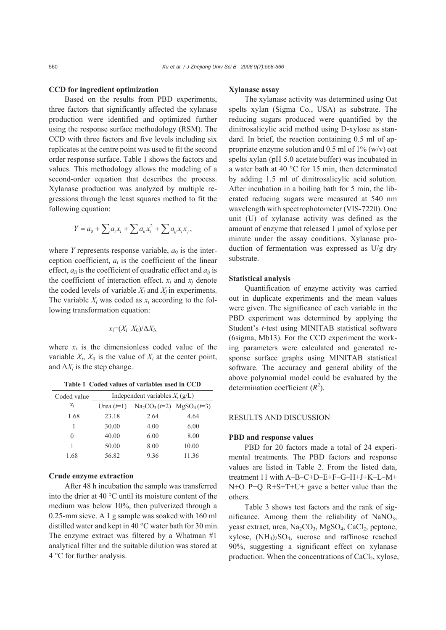#### **CCD for ingredient optimization**

Based on the results from PBD experiments, three factors that significantly affected the xylanase production were identified and optimized further using the response surface methodology (RSM). The CCD with three factors and five levels including six replicates at the centre point was used to fit the second order response surface. Table 1 shows the factors and values. This methodology allows the modeling of a second-order equation that describes the process. Xylanase production was analyzed by multiple regressions through the least squares method to fit the following equation:

$$
Y = a_0 + \sum a_i x_i + \sum a_{ii} x_i^2 + \sum a_{ij} x_i x_j,
$$

where *Y* represents response variable,  $a_0$  is the interception coefficient,  $a_i$  is the coefficient of the linear effect,  $a_{ii}$  is the coefficient of quadratic effect and  $a_{ii}$  is the coefficient of interaction effect.  $x_i$  and  $x_j$  denote the coded levels of variable  $X_i$  and  $X_j$  in experiments. The variable  $X_i$  was coded as  $x_i$  according to the following transformation equation:

$$
x_i = (X_i - X_0)/\Delta X_i,
$$

where  $x_i$  is the dimensionless coded value of the variable  $X_i$ ,  $X_0$  is the value of  $X_i$  at the center point, and  $\Delta X_i$  is the step change.

| Table 1 Coded values of variables used in CCD |  |  |  |  |  |  |  |  |
|-----------------------------------------------|--|--|--|--|--|--|--|--|
|-----------------------------------------------|--|--|--|--|--|--|--|--|

| Coded value     | Independent variables $X_i$ (g/L) |                               |       |  |  |  |
|-----------------|-----------------------------------|-------------------------------|-------|--|--|--|
| $\mathcal{X}_i$ | Urea $(i=1)$                      | $Na_2CO_3(i=2)$ $MgSO_4(i=3)$ |       |  |  |  |
| $-1.68$         | 23.18                             | 2.64                          | 4.64  |  |  |  |
| $-1$            | 30.00                             | 4.00                          | 6.00  |  |  |  |
| $\mathbf{0}$    | 40.00                             | 6.00                          | 8.00  |  |  |  |
|                 | 50.00                             | 8.00                          | 10.00 |  |  |  |
| 1.68            | 56.82                             | 9.36                          | 11.36 |  |  |  |

#### **Crude enzyme extraction**

After 48 h incubation the sample was transferred into the drier at 40 °C until its moisture content of the medium was below 10%, then pulverized through a 0.25-mm sieve. A 1 g sample was soaked with 160 ml distilled water and kept in 40 °C water bath for 30 min. The enzyme extract was filtered by a Whatman #1 analytical filter and the suitable dilution was stored at 4 °C for further analysis.

# **Xylanase assay**

The xylanase activity was determined using Oat spelts xylan (Sigma Co., USA) as substrate. The reducing sugars produced were quantified by the dinitrosalicylic acid method using D-xylose as standard. In brief, the reaction containing 0.5 ml of appropriate enzyme solution and 0.5 ml of 1% (w/v) oat spelts xylan (pH 5.0 acetate buffer) was incubated in a water bath at 40 °C for 15 min, then determinated by adding 1.5 ml of dinitrosalicylic acid solution. After incubation in a boiling bath for 5 min, the liberated reducing sugars were measured at 540 nm wavelength with spectrophotometer (VIS-7220). One unit (U) of xylanase activity was defined as the amount of enzyme that released 1 μmol of xylose per minute under the assay conditions. Xylanase production of fermentation was expressed as U/g dry substrate.

#### **Statistical analysis**

Quantification of enzyme activity was carried out in duplicate experiments and the mean values were given. The significance of each variable in the PBD experiment was determined by applying the Student's *t*-test using MINITAB statistical software (6sigma, Mb13). For the CCD experiment the working parameters were calculated and generated response surface graphs using MINITAB statistical software. The accuracy and general ability of the above polynomial model could be evaluated by the determination coefficient  $(R^2)$ .

## RESULTS AND DISCUSSION

# **PBD and response values**

PBD for 20 factors made a total of 24 experimental treatments. The PBD factors and response values are listed in Table 2. From the listed data, treatment 11 with A−B−C+D−E+F−G−H+J+K−L−M+ N+O−P+Q−R+S+T+U+ gave a better value than the others.

Table 3 shows test factors and the rank of significance. Among them the reliability of  $NaNO<sub>3</sub>$ , yeast extract, urea, Na<sub>2</sub>CO<sub>3</sub>, MgSO<sub>4</sub>, CaCl<sub>2</sub>, peptone, xylose,  $(NH_4)$ <sub>2</sub>SO<sub>4</sub>, sucrose and raffinose reached 90%, suggesting a significant effect on xylanase production. When the concentrations of CaCl<sub>2</sub>, xylose,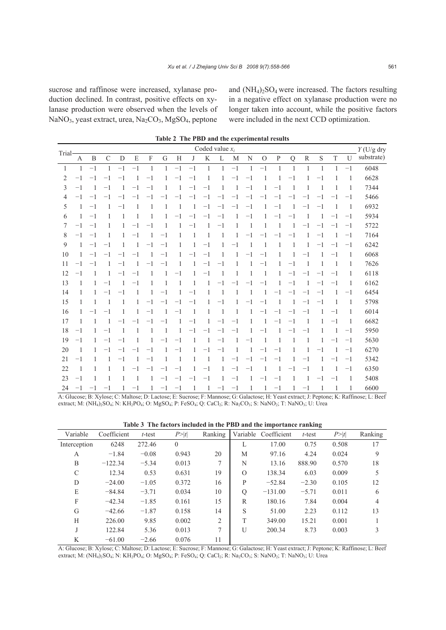sucrose and raffinose were increased, xylanase production declined. In contrast, positive effects on xylanase production were observed when the levels of NaNO<sub>3</sub>, yeast extract, urea, Na<sub>2</sub>CO<sub>3</sub>, MgSO<sub>4</sub>, peptone and  $(NH_4)_2SO_4$  were increased. The factors resulting in a negative effect on xylanase production were no longer taken into account, while the positive factors were included in the next CCD optimization.

|                |      |                |               |         |         |         |              |                |         | Coded value $x_i$ |              |         |                | THE TIDD and the experimental results |         |             |         |         |         |              | $Y$ (U/g dry |
|----------------|------|----------------|---------------|---------|---------|---------|--------------|----------------|---------|-------------------|--------------|---------|----------------|---------------------------------------|---------|-------------|---------|---------|---------|--------------|--------------|
| Trial-         | A    | B              | $\mathcal{C}$ | D       | E       | F       | G            | Н              | J       | K                 | L            | M       | N              | $\Omega$                              | P       | $\mathbf Q$ | R       | S       | T       | U            | substrate)   |
| -1             | -1   | $^{-1}$        | 1             | $-1$    | $-1$    | -1      | 1            | $-1$           | $-1$    | 1                 | 1            | $-1$    | 1              | $-1$                                  | 1       | 1           | 1       | 1       | 1       | $-1$         | 6048         |
| 2              | $-1$ | $-1$           | $-1$          | $-1$    | 1       | $-1$    |              | $-1$           | $-1$    | 1                 | 1            | $-1$    | $^{-1}$        | 1                                     | 1       | $-1$        |         | $-1$    | 1       | 1            | 6628         |
| 3              | $-1$ | $\overline{1}$ | $-1$          | 1       | $-1$    | $^{-1}$ | 1            | $\overline{1}$ | $-1$    | $^{-1}$           | 1            | -1      | $-1$           | 1                                     | $-1$    | -1          | 1       | -1      | 1       | 1            | 7344         |
| $\overline{4}$ | $-1$ | $-1$           | $-1$          | -1      |         | -1      | -1           | $-1$           | $-1$    | $^{-1}$           | $-1$         | $-1$    | $-1$           | $-1$                                  | $-1$    | $-1$        | $-1$    | $-1$    | -1      | $-1$         | 5466         |
| 5              | -1   | $-1$           |               | $-1$    | 1       | 1       |              | 1              | 1       | $-1$              | $-1$         | $-1$    | $-1$           | 1                                     | $^{-1}$ | 1           | $-1$    | $^{-1}$ |         | -1           | 6932         |
| 6              | -1   | $-1$           |               | 1       | 1       | 1       |              | $-1$           | $^{-1}$ | $^{-1}$           | $^{-1}$      |         | $^{-1}$        | 1                                     | $-1$    | $^{-1}$     |         | 1       | -1      | $^{-1}$      | 5934         |
| 7              | $-1$ | $-1$           | 1             | 1       | -1      | -1      |              |                | $-1$    | 1                 | $-1$         | 1       | $\overline{1}$ | 1                                     | -1      |             | $-1$    | $-1$    | -1      | $-1$         | 5722         |
| 8              | $-1$ | $-1$           | 1             | 1       | $-1$    | 1       | $-1$         | 1              | 1       | 1                 | $\mathbf{1}$ | 1       | $-1$           | -1                                    | $-1$    | $-1$        | 1       | $-1$    | 1       | $-1$         | 7164         |
| 9              | 1    | $-1$           | $-1$          | 1       | 1       | $-1$    | $-1$         | 1              | 1       | $^{-1}$           | 1            | $-1$    | -1             | $\mathbf{1}$                          | 1       | 1           |         | $-1$    | -1      | $-1$         | 6242         |
| 10             | 1    | $-1$           | $-1$          | $-1$    | $-1$    | 1       | $-1$         | 1              | $-1$    | $-1$              | 1            | 1       | $-1$           | $-1$                                  | 1       | 1           | $-1$    | 1       | $-1$    | -1           | 6068         |
| 11             | -1   | $^{-1}$        |               | -1      |         | -1      | -1           | 1              | 1       | $-1$              | $-1$         |         |                | $-1$                                  | 1       | $-1$        |         | 1       | 1       | 1            | 7626         |
| 12             | $-1$ | -1             |               | $-1$    | $^{-1}$ | 1       |              | $-1$           | 1       | $^{-1}$           | 1            | 1       | 1              | 1                                     | 1       | $^{-1}$     | $-1$    | $-1$    | -1      | 1            | 6118         |
| 13             | 1    | 1              | $^{-1}$       | 1       | $^{-1}$ | 1       | $\mathbf{1}$ | 1              | 1       | 1                 | $-1$         | -1      | $-1$           | $^{-1}$                               | 1       | $^{-1}$     | 1       | $-1$    | $-1$    | 1            | 6162         |
| 14             | 1    | 1              | $-1$          | $^{-1}$ | 1       | 1       | $^{-1}$      | 1              | $-1$    | 1                 | -1           | -1      | $\overline{1}$ | 1                                     | $-1$    | $-1$        | $-1$    | $-1$    | 1       | $^{-1}$      | 6454         |
| 15             | 1    | -1             | 1             | 1       | 1       | $-1$    | $^{-1}$      | $-1$           | $-1$    | 1                 | $-1$         | 1       | $-1$           | $-1$                                  | -1      | 1           | $-1$    | $-1$    | 1       | -1           | 5798         |
| 16             | 1    | -1             | $-1$          | 1       | 1       | $^{-1}$ |              | $^{-1}$        | 1       | 1                 | 1            |         |                | $-1$                                  | -1      | $-1$        | $^{-1}$ | 1       | -1      | 1            | 6014         |
| 17             | 1    |                |               | -1      |         |         | $^{-1}$      | 1              | $-1$    | 1                 | $^{-1}$      | $^{-1}$ | 1              | 1                                     | -1      | $^{-1}$     | 1       | 1       | $^{-1}$ | 1            | 6682         |
| 18             | $-1$ | 1              | $^{-1}$       | 1       | 1       | 1       | -1           | 1              | $-1$    | $^{-1}$           | $^{-1}$      | $^{-1}$ | 1              | $-1$                                  | 1       | $^{-1}$     | $-1$    | 1       | -1      | $^{-1}$      | 5950         |
| 19             | $-1$ | -1             | $^{-1}$       | $^{-1}$ | 1       | 1       | -1           | $^{-1}$        | 1       | 1                 | $^{-1}$      | -1      | $^{-1}$        | -1                                    | -1      | -1          | 1       | 1       | -1      | $-1$         | 5630         |
| 20             | 1    | -1             | $-1$          | -1      | -1      | $-1$    | -1           | $-1$           | 1       | $-1$              | $-1$         | -1      | -1             | $-1$                                  | $-1$    | 1           | 1       | $-1$    | -1      | $-1$         | 6270         |
| 21             | $-1$ |                |               | $-1$    |         | $-1$    |              | 1              | 1       | 1                 | 1            | $-1$    | $^{-1}$        | -1                                    | $^{-1}$ |             | $^{-1}$ | 1       | -1      | $^{-1}$      | 5342         |
| 22             | -1   |                | 1             | 1       |         | $-1$    | -1           | $^{-1}$        | 1       | $-1$              | 1            | $-1$    | $^{-1}$        | 1                                     | 1       | -1          | $^{-1}$ | 1       |         | $^{-1}$      | 6350         |
| 23             | $-1$ | $\mathbf{1}$   | 1             | 1       | 1       | 1       | $-1$         | $-1$           | $-1$    | $-1$              | 1            | $-1$    | 1              | $-1$                                  | $-1$    | 1           |         | $-1$    | -1      | $\mathbf{1}$ | 5408         |
| 24             | $-1$ | $-1$           | $^{-1}$       | 1       | $-1$    | 1       | $-1$         | $-1$           | 1       | 1                 | $-1$         | $-1$    | 1              | 1                                     | $^{-1}$ | 1           | $-1$    | 1       | 1       | 1            | 6600         |

|  |  |  | Table 2 The PBD and the experimental results |  |
|--|--|--|----------------------------------------------|--|
|--|--|--|----------------------------------------------|--|

A: Glucose; B: Xylose; C: Maltose; D: Lactose; E: Sucrose; F: Mannose; G: Galactose; H: Yeast extract; J: Peptone; K: Raffinose; L: Beef extract; M: (NH<sub>4)2</sub>SO<sub>4</sub>; N: KH<sub>2</sub>PO<sub>4</sub>; O: MgSO<sub>4</sub>; P: FeSO<sub>4</sub>; Q: CaCl<sub>2</sub>; R: Na<sub>2</sub>CO<sub>3</sub>; S: NaNO<sub>2</sub>; T: NaNO<sub>3</sub>; U: Urea

| Table 3 The factors included in the PBD and the importance ranking |  |  |  |  |  |  |  |
|--------------------------------------------------------------------|--|--|--|--|--|--|--|
|--------------------------------------------------------------------|--|--|--|--|--|--|--|

| Variable      | Coefficient | $t$ -test | P >  t   | Ranking |             | Variable Coefficient | $t$ -test | P >  t | Ranking |
|---------------|-------------|-----------|----------|---------|-------------|----------------------|-----------|--------|---------|
| Interception  | 6248        | 272.46    | $\theta$ |         | L           | 17.00                | 0.75      | 0.508  | 17      |
| A             | $-1.84$     | $-0.08$   | 0.943    | 20      | M           | 97.16                | 4.24      | 0.024  | 9       |
| B             | $-122.34$   | $-5.34$   | 0.013    | 7       | N           | 13.16                | 888.90    | 0.570  | 18      |
| $\mathcal{C}$ | 12.34       | 0.53      | 0.631    | 19      | $\Omega$    | 138.34               | 6.03      | 0.009  | 5       |
| D             | $-24.00$    | $-1.05$   | 0.372    | 16      | P           | $-52.84$             | $-2.30$   | 0.105  | 12      |
| E             | $-84.84$    | $-3.71$   | 0.034    | 10      | $\mathbf Q$ | $-131.00$            | $-5.71$   | 0.011  | 6       |
| F             | $-42.34$    | $-1.85$   | 0.161    | 15      | R           | 180.16               | 7.84      | 0.004  | 4       |
| G             | $-42.66$    | $-1.87$   | 0.158    | 14      | S           | 51.00                | 2.23      | 0.112  | 13      |
| H             | 226.00      | 9.85      | 0.002    | 2       | T           | 349.00               | 15.21     | 0.001  |         |
| J             | 122.84      | 5.36      | 0.013    | 7       | U           | 200.34               | 8.73      | 0.003  | 3       |
| K             | $-61.00$    | $-2.66$   | 0.076    | 11      |             |                      |           |        |         |

A: Glucose; B: Xylose; C: Maltose; D: Lactose; E: Sucrose; F: Mannose; G: Galactose; H: Yeast extract; J: Peptone; K: Raffinose; L: Beef extract; M: (NH<sub>4</sub>)<sub>2</sub>SO<sub>4</sub>; N: KH<sub>2</sub>PO<sub>4</sub>; O: MgSO<sub>4</sub>; P: FeSO<sub>4</sub>; Q: CaCl<sub>2</sub>; R: Na<sub>2</sub>CO<sub>3</sub>; S: NaNO<sub>2</sub>; T: NaNO<sub>3</sub>; U: Urea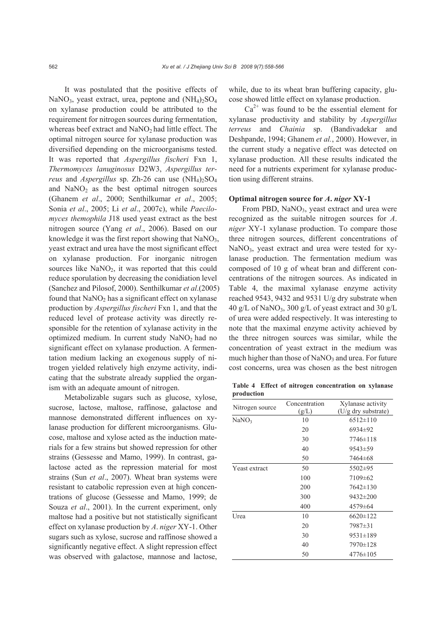It was postulated that the positive effects of NaNO<sub>3</sub>, yeast extract, urea, peptone and  $(NH<sub>4</sub>)<sub>2</sub>SO<sub>4</sub>$ on xylanase production could be attributed to the requirement for nitrogen sources during fermentation, whereas beef extract and  $NaNO<sub>2</sub>$  had little effect. The optimal nitrogen source for xylanase production was diversified depending on the microorganisms tested. It was reported that *Aspergillus fischeri* Fxn 1, *Thermomyces lanuginosus* D2W3, *Aspergillus terreus* and *Aspergillus* sp. Zh-26 can use  $(NH_4)_2SO_4$ and  $NaNO<sub>2</sub>$  as the best optimal nitrogen sources (Ghanem *et al*., 2000; Senthilkumar *et al*., 2005; Sonia *et al*., 2005; Li *et al*., 2007c), while *Paecilomyces themophila* J18 used yeast extract as the best nitrogen source (Yang *et al*., 2006). Based on our knowledge it was the first report showing that  $NaNO<sub>3</sub>$ , yeast extract and urea have the most significant effect on xylanase production. For inorganic nitrogen sources like  $NaNO<sub>2</sub>$ , it was reported that this could reduce sporulation by decreasing the conidiation level (Sanchez and Pilosof, 2000). Senthilkumar *et al*.(2005) found that  $NaNO<sub>2</sub>$  has a significant effect on xylanase production by *Aspergillus fischeri* Fxn 1, and that the reduced level of protease activity was directly responsible for the retention of xylanase activity in the optimized medium. In current study  $NaNO<sub>2</sub>$  had no significant effect on xylanase production. A fermentation medium lacking an exogenous supply of nitrogen yielded relatively high enzyme activity, indicating that the substrate already supplied the organism with an adequate amount of nitrogen.

Metabolizable sugars such as glucose, xylose, sucrose, lactose, maltose, raffinose, galactose and mannose demonstrated different influences on xylanase production for different microorganisms. Glucose, maltose and xylose acted as the induction materials for a few strains but showed repression for other strains (Gessesse and Mamo, 1999). In contrast, galactose acted as the repression material for most strains (Sun *et al*., 2007). Wheat bran systems were resistant to catabolic repression even at high concentrations of glucose (Gessesse and Mamo, 1999; de Souza *et al*., 2001). In the current experiment, only maltose had a positive but not statistically significant effect on xylanase production by *A*. *niger* XY-1. Other sugars such as xylose, sucrose and raffinose showed a significantly negative effect. A slight repression effect was observed with galactose, mannose and lactose, while, due to its wheat bran buffering capacity, glucose showed little effect on xylanase production.

 $Ca<sup>2+</sup>$  was found to be the essential element for xylanase productivity and stability by *Aspergillus terreus* and *Chainia* sp. (Bandivadekar and Deshpande, 1994; Ghanem *et al.*, 2000). However, in the current study a negative effect was detected on xylanase production. All these results indicated the need for a nutrients experiment for xylanase production using different strains.

# **Optimal nitrogen source for** *A***.** *niger* **XY-1**

From PBD, NaNO<sub>3</sub>, yeast extract and urea were recognized as the suitable nitrogen sources for *A*. *niger* XY-1 xylanase production. To compare those three nitrogen sources, different concentrations of NaNO<sub>3</sub>, yeast extract and urea were tested for xylanase production. The fermentation medium was composed of 10 g of wheat bran and different concentrations of the nitrogen sources. As indicated in Table 4, the maximal xylanase enzyme activity reached 9543, 9432 and 9531 U/g dry substrate when 40 g/L of NaNO<sub>3</sub>, 300 g/L of yeast extract and 30 g/L of urea were added respectively. It was interesting to note that the maximal enzyme activity achieved by the three nitrogen sources was similar, while the concentration of yeast extract in the medium was much higher than those of  $NaNO<sub>3</sub>$  and urea. For future cost concerns, urea was chosen as the best nitrogen

**Table 4 Effect of nitrogen concentration on xylanase production**

| Nitrogen source      | Concentration<br>(g/L) | Xylanase activity<br>(U/g dry substrate) |
|----------------------|------------------------|------------------------------------------|
| NaNO <sub>3</sub>    | 10                     | $6512 \pm 110$                           |
|                      | 20                     | 6934±92                                  |
|                      | 30                     | 7746±118                                 |
|                      | 40                     | $9543 \pm 59$                            |
|                      | 50                     | 7464±68                                  |
| <b>Yeast extract</b> | 50                     | 5502±95                                  |
|                      | 100                    | $7109 \pm 62$                            |
|                      | 200                    | $7642 \pm 130$                           |
|                      | 300                    | 9432±200                                 |
|                      | 400                    | 4579±64                                  |
| Urea                 | 10                     | $6620 \pm 122$                           |
|                      | 20                     | 7987±31                                  |
|                      | 30                     | $9531 \pm 189$                           |
|                      | 40                     | 7970±128                                 |
|                      | 50                     | $4776 \pm 105$                           |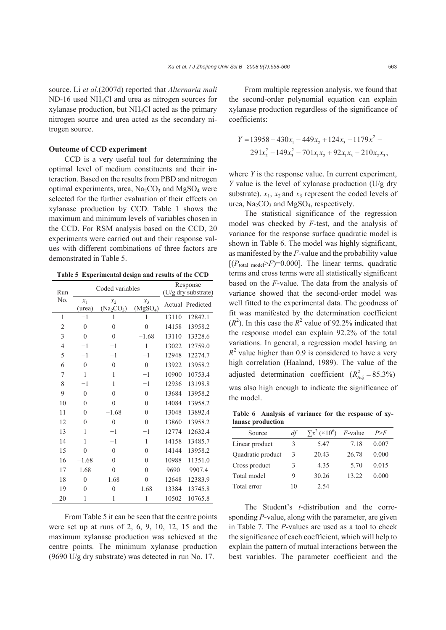source. Li *et al*.(2007d) reported that *Alternaria mali* ND-16 used NH4Cl and urea as nitrogen sources for xylanase production, but NH4Cl acted as the primary nitrogen source and urea acted as the secondary nitrogen source.

#### **Outcome of CCD experiment**

CCD is a very useful tool for determining the optimal level of medium constituents and their interaction. Based on the results from PBD and nitrogen optimal experiments, urea,  $Na<sub>2</sub>CO<sub>3</sub>$  and  $MgSO<sub>4</sub>$  were selected for the further evaluation of their effects on xylanase production by CCD. Table 1 shows the maximum and minimum levels of variables chosen in the CCD. For RSM analysis based on the CCD, 20 experiments were carried out and their response values with different combinations of three factors are demonstrated in Table 5.

**Table 5 Experimental design and results of the CCD**

| Run            |                 | Coded variables                                         |                               | Response<br>(U/g dry substrate) |                  |  |
|----------------|-----------------|---------------------------------------------------------|-------------------------------|---------------------------------|------------------|--|
| No.            | $x_1$<br>(urea) | $\mathcal{X}_{2}$<br>(Na <sub>2</sub> CO <sub>3</sub> ) | $x_3$<br>(MgSO <sub>4</sub> ) |                                 | Actual Predicted |  |
| 1              | $-1$            | 1                                                       | 1                             | 13110                           | 12842.1          |  |
| 2              | $\theta$        | $\overline{0}$                                          | $\overline{0}$                | 14158                           | 13958.2          |  |
| 3              | $\overline{0}$  | $\mathbf{0}$                                            | $-1.68$                       | 13110                           | 13328.6          |  |
| $\overline{4}$ | $-1$            | $-1$                                                    | 1                             | 13022                           | 12759.0          |  |
| 5              | $-1$            | $-1$                                                    | $-1$                          | 12948                           | 12274.7          |  |
| 6              | $\theta$        | $\theta$                                                | $\theta$                      | 13922                           | 13958.2          |  |
| 7              | 1               | 1                                                       | $^{-1}$                       | 10900                           | 10753.4          |  |
| 8              | $-1$            | 1                                                       | $-1$                          | 12936                           | 13198.8          |  |
| 9              | $\theta$        | $\theta$                                                | $\theta$                      | 13684                           | 13958.2          |  |
| 10             | $\theta$        | $\overline{0}$                                          | $\theta$                      | 14084                           | 13958.2          |  |
| 11             | $\theta$        | $-1.68$                                                 | $\theta$                      | 13048                           | 13892.4          |  |
| 12             | $\theta$        | $\boldsymbol{0}$                                        | $\theta$                      | 13860                           | 13958.2          |  |
| 13             | 1               | $-1$                                                    | $-1$                          | 12774                           | 12632.4          |  |
| 14             | 1               | $-1$                                                    | 1                             | 14158                           | 13485.7          |  |
| 15             | $\theta$        | $\theta$                                                | $\theta$                      | 14144                           | 13958.2          |  |
| 16             | $-1.68$         | $\mathbf{0}$                                            | $\theta$                      | 10988                           | 11351.0          |  |
| 17             | 1.68            | $\overline{0}$                                          | $\theta$                      | 9690                            | 9907.4           |  |
| 18             | $\theta$        | 1.68                                                    | $\theta$                      | 12648                           | 12383.9          |  |
| 19             | $\theta$        | $\overline{0}$                                          | 1.68                          | 13384                           | 13745.8          |  |
| 20             | 1               | 1                                                       | 1                             | 10502                           | 10765.8          |  |

From Table 5 it can be seen that the centre points were set up at runs of 2, 6, 9, 10, 12, 15 and the maximum xylanase production was achieved at the centre points. The minimum xylanase production (9690 U/g dry substrate) was detected in run No. 17.

From multiple regression analysis, we found that the second-order polynomial equation can explain xylanase production regardless of the significance of coefficients:

$$
Y = 13958 - 430x1 - 449x2 + 124x3 - 1179x12 - 291x22 - 149x32 - 701x1x2 + 92x1x3 - 210x2x3,
$$

where *Y* is the response value. In current experiment, *Y* value is the level of xylanase production (U/g dry substrate).  $x_1$ ,  $x_2$  and  $x_3$  represent the coded levels of urea,  $Na<sub>2</sub>CO<sub>3</sub>$  and  $MgSO<sub>4</sub>$ , respectively.

The statistical significance of the regression model was checked by *F*-test, and the analysis of variance for the response surface quadratic model is shown in Table 6. The model was highly significant, as manifested by the *F*-value and the probability value  $[(P_{total model} > F)=0.000]$ . The linear terms, quadratic terms and cross terms were all statistically significant based on the *F*-value. The data from the analysis of variance showed that the second-order model was well fitted to the experimental data. The goodness of fit was manifested by the determination coefficient  $(R<sup>2</sup>)$ . In this case the  $R<sup>2</sup>$  value of 92.2% indicated that the response model can explain 92.2% of the total variations. In general, a regression model having an  $R<sup>2</sup>$  value higher than 0.9 is considered to have a very high correlation (Haaland, 1989). The value of the adjusted determination coefficient  $(R_{\text{Adj}}^2 = 85.3\%)$ was also high enough to indicate the significance of the model.

**Table 6 Analysis of variance for the response of xylanase production** 

| Source            | df | $\sum x^2 (10^6)$ | $F$ -value | P>F   |
|-------------------|----|-------------------|------------|-------|
| Linear product    | 3  | 5.47              | 718        | 0.007 |
| Quadratic product | 3  | 20.43             | 26.78      | 0.000 |
| Cross product     | 3  | 4.35              | 5.70       | 0.015 |
| Total model       | 9  | 30.26             | 13.22      | 0.000 |
| Total error       | 10 | 2.54              |            |       |

The Student's *t-*distribution and the corresponding *P*-value, along with the parameter, are given in Table 7. The *P*-values are used as a tool to check the significance of each coefficient, which will help to explain the pattern of mutual interactions between the best variables. The parameter coefficient and the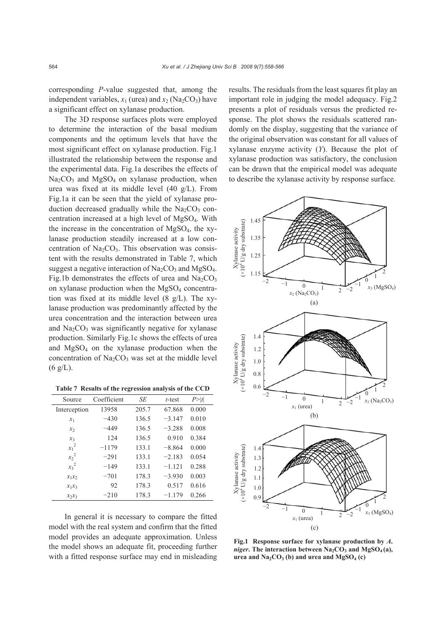corresponding *P*-value suggested that, among the independent variables,  $x_1$  (urea) and  $x_2$  (Na<sub>2</sub>CO<sub>3</sub>) have a significant effect on xylanase production.

The 3D response surfaces plots were employed to determine the interaction of the basal medium components and the optimum levels that have the most significant effect on xylanase production. Fig.1 illustrated the relationship between the response and the experimental data. Fig.1a describes the effects of  $Na<sub>2</sub>CO<sub>3</sub>$  and  $MgSO<sub>4</sub>$  on xylanase production, when urea was fixed at its middle level (40 g/L). From Fig.1a it can be seen that the yield of xylanase production decreased gradually while the  $Na<sub>2</sub>CO<sub>3</sub>$  concentration increased at a high level of MgSO4. With the increase in the concentration of MgSO4, the xylanase production steadily increased at a low concentration of  $Na<sub>2</sub>CO<sub>3</sub>$ . This observation was consistent with the results demonstrated in Table 7, which suggest a negative interaction of  $Na_2CO_3$  and  $MgSO_4$ . Fig.1b demonstrates the effects of urea and  $Na_2CO_3$ on xylanase production when the  $MgSO<sub>4</sub>$  concentration was fixed at its middle level (8 g/L). The xylanase production was predominantly affected by the urea concentration and the interaction between urea and  $Na<sub>2</sub>CO<sub>3</sub>$  was significantly negative for xylanase production. Similarly Fig.1c shows the effects of urea and  $MgSO<sub>4</sub>$  on the xylanase production when the concentration of  $Na<sub>2</sub>CO<sub>3</sub>$  was set at the middle level  $(6 g/L)$ .

**Table 7 Results of the regression analysis of the CCD**

| Source       | Coefficient | SE    | $t$ -test | P >  t |
|--------------|-------------|-------|-----------|--------|
| Interception | 13958       | 205.7 | 67.868    | 0.000  |
| $x_1$        | $-430$      | 136.5 | $-3.147$  | 0.010  |
| $x_2$        | $-449$      | 136.5 | $-3.288$  | 0.008  |
| $x_3$        | 124         | 136.5 | 0.910     | 0.384  |
| $x_1^2$      | $-1179$     | 133.1 | $-8.864$  | 0.000  |
| $x_2^2$      | $-291$      | 133.1 | $-2.183$  | 0.054  |
| $x_3^2$      | $-149$      | 133.1 | $-1.121$  | 0.288  |
| $x_1x_2$     | $-701$      | 178.3 | $-3.930$  | 0.003  |
| $x_1x_3$     | 92          | 178.3 | 0.517     | 0.616  |
| $x_2x_3$     | $-210$      | 178.3 | $-1.179$  | 0.266  |

In general it is necessary to compare the fitted model with the real system and confirm that the fitted model provides an adequate approximation. Unless the model shows an adequate fit, proceeding further with a fitted response surface may end in misleading results. The residuals from the least squares fit play an important role in judging the model adequacy. Fig.2 presents a plot of residuals versus the predicted response. The plot shows the residuals scattered randomly on the display, suggesting that the variance of the original observation was constant for all values of xylanase enzyme activity (*Y*). Because the plot of xylanase production was satisfactory, the conclusion can be drawn that the empirical model was adequate to describe the xylanase activity by response surface.



**Fig.1 Response surface for xylanase production by** *A***.** *niger***.** The interaction between  $Na<sub>2</sub>CO<sub>3</sub>$  and  $MgSO<sub>4</sub>(a)$ ,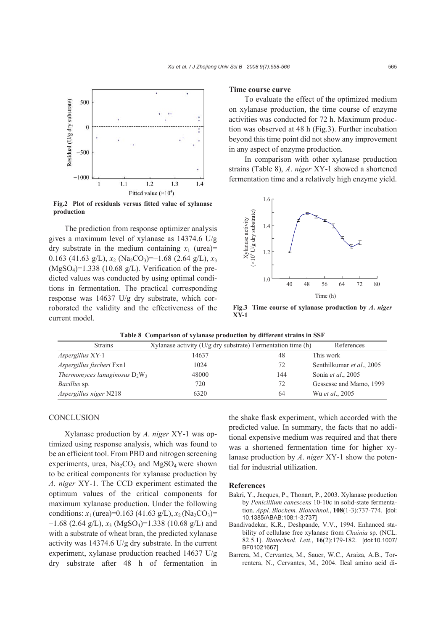

**Fig.2 Plot of residuals versus fitted value of xylanase production**

The prediction from response optimizer analysis gives a maximum level of xylanase as 14374.6 U/g dry substrate in the medium containing  $x_1$  (urea)= 0.163 (41.63 g/L),  $x_2$  (Na<sub>2</sub>CO<sub>3</sub>)=−1.68 (2.64 g/L),  $x_3$  $(MgSO<sub>4</sub>)=1.338$  (10.68 g/L). Verification of the predicted values was conducted by using optimal conditions in fermentation. The practical corresponding response was 14637 U/g dry substrate, which corroborated the validity and the effectiveness of the current model.

#### **Time course curve**

To evaluate the effect of the optimized medium on xylanase production, the time course of enzyme activities was conducted for 72 h. Maximum production was observed at 48 h (Fig.3). Further incubation beyond this time point did not show any improvement in any aspect of enzyme production.

In comparison with other xylanase production strains (Table 8), *A*. *niger* XY-1 showed a shortened fermentation time and a relatively high enzyme yield.



**Fig.3 Time course of xylanase production by** *A***.** *niger* **XY-1**

|  |  |  |  |  | Table 8 Comparison of xylanase production by different strains in SSF |
|--|--|--|--|--|-----------------------------------------------------------------------|
|--|--|--|--|--|-----------------------------------------------------------------------|

| <b>Strains</b>                   | Xylanase activity $(U/g)$ dry substrate) Fermentation time (h) |     | References                |
|----------------------------------|----------------------------------------------------------------|-----|---------------------------|
| <i>Aspergillus</i> XY-1          | 14637                                                          | 48  | This work                 |
| Aspergillus fischeri Fxn1        | 1024                                                           | 72  | Senthilkumar et al., 2005 |
| Thermomyces lanuginosus $D_2W_3$ | 48000                                                          | 144 | Sonia et al., 2005        |
| <i>Bacillus</i> sp.              | 720                                                            | 72  | Gessesse and Mamo, 1999   |
| Aspergillus niger N218           | 6320                                                           | 64  | Wu et al., 2005           |

#### **CONCLUSION**

Xylanase production by *A*. *niger* XY-1 was optimized using response analysis, which was found to be an efficient tool. From PBD and nitrogen screening experiments, urea,  $Na_2CO_3$  and  $MgSO_4$  were shown to be critical components for xylanase production by *A*. *niger* XY-1. The CCD experiment estimated the optimum values of the critical components for maximum xylanase production. Under the following conditions:  $x_1$  (urea)=0.163 (41.63 g/L),  $x_2$  (Na<sub>2</sub>CO<sub>3</sub>)=  $-1.68$  (2.64 g/L),  $x_3$  (MgSO<sub>4</sub>)=1.338 (10.68 g/L) and with a substrate of wheat bran, the predicted xylanase activity was 14374.6 U/g dry substrate. In the current experiment, xylanase production reached 14637 U/g dry substrate after 48 h of fermentation in

the shake flask experiment, which accorded with the predicted value. In summary, the facts that no additional expensive medium was required and that there was a shortened fermentation time for higher xylanase production by *A*. *niger* XY-1 show the potential for industrial utilization.

#### **References**

- Bakri, Y., Jacques, P., Thonart, P., 2003. Xylanase production by *Penicillium canescens* 10-10c in solid-state fermentation. *Appl. Biochem. Biotechnol.*, **108**(1-3):737-774. [doi: 10.1385/ABAB:108:1-3:737]
- Bandivadekar, K.R., Deshpande, V.V., 1994. Enhanced stability of cellulase free xylanase from *Chainia* sp. (NCL. 82.5.1). *Biotechnol. Lett.*, **16**(2):179-182. [doi:10.1007/ BF01021667]
- Barrera, M., Cervantes, M., Sauer, W.C., Araiza, A.B., Torrentera, N., Cervantes, M., 2004. Ileal amino acid di-